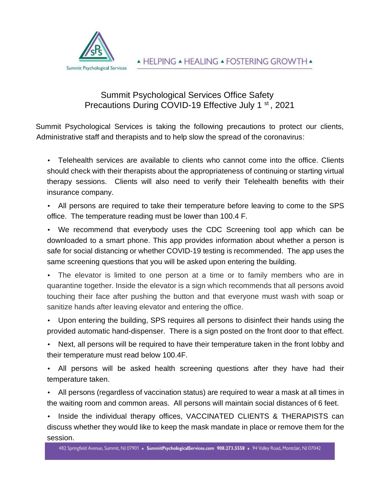

## Summit Psychological Services Office Safety Precautions During COVID-19 Effective July 1<sup>st</sup>, 2021

Summit Psychological Services is taking the following precautions to protect our clients, Administrative staff and therapists and to help slow the spread of the coronavirus:

• Telehealth services are available to clients who cannot come into the office. Clients should check with their therapists about the appropriateness of continuing or starting virtual therapy sessions. Clients will also need to verify their Telehealth benefits with their insurance company.

• All persons are required to take their temperature before leaving to come to the SPS office. The temperature reading must be lower than 100.4 F.

• We recommend that everybody uses the CDC Screening tool app which can be downloaded to a smart phone. This app provides information about whether a person is safe for social distancing or whether COVID-19 testing is recommended. The app uses the same screening questions that you will be asked upon entering the building.

• The elevator is limited to one person at a time or to family members who are in quarantine together. Inside the elevator is a sign which recommends that all persons avoid touching their face after pushing the button and that everyone must wash with soap or sanitize hands after leaving elevator and entering the office.

• Upon entering the building, SPS requires all persons to disinfect their hands using the provided automatic hand-dispenser. There is a sign posted on the front door to that effect.

• Next, all persons will be required to have their temperature taken in the front lobby and their temperature must read below 100.4F.

• All persons will be asked health screening questions after they have had their temperature taken.

• All persons (regardless of vaccination status) are required to wear a mask at all times in the waiting room and common areas. All persons will maintain social distances of 6 feet.

Inside the individual therapy offices, VACCINATED CLIENTS & THERAPISTS can discuss whether they would like to keep the mask mandate in place or remove them for the session.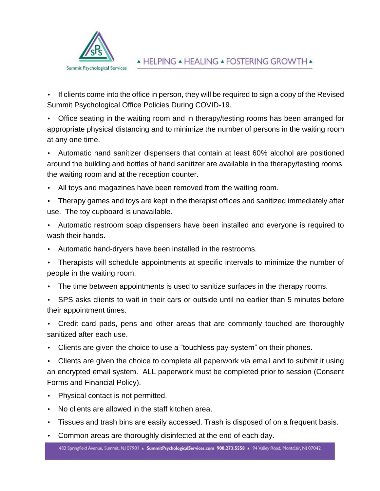

• If clients come into the office in person, they will be required to sign a copy of the Revised Summit Psychological Office Policies During COVID-19.

• Office seating in the waiting room and in therapy/testing rooms has been arranged for appropriate physical distancing and to minimize the number of persons in the waiting room at any one time.

• Automatic hand sanitizer dispensers that contain at least 60% alcohol are positioned around the building and bottles of hand sanitizer are available in the therapy/testing rooms, the waiting room and at the reception counter.

• All toys and magazines have been removed from the waiting room.

• Therapy games and toys are kept in the therapist offices and sanitized immediately after use. The toy cupboard is unavailable.

• Automatic restroom soap dispensers have been installed and everyone is required to wash their hands.

• Automatic hand-dryers have been installed in the restrooms.

Therapists will schedule appointments at specific intervals to minimize the number of people in the waiting room.

The time between appointments is used to sanitize surfaces in the therapy rooms.

• SPS asks clients to wait in their cars or outside until no earlier than 5 minutes before their appointment times.

• Credit card pads, pens and other areas that are commonly touched are thoroughly sanitized after each use.

• Clients are given the choice to use a "touchless pay-system" on their phones.

• Clients are given the choice to complete all paperwork via email and to submit it using an encrypted email system. ALL paperwork must be completed prior to session (Consent Forms and Financial Policy).

- Physical contact is not permitted.
- No clients are allowed in the staff kitchen area.
- Tissues and trash bins are easily accessed. Trash is disposed of on a frequent basis.
- Common areas are thoroughly disinfected at the end of each day.